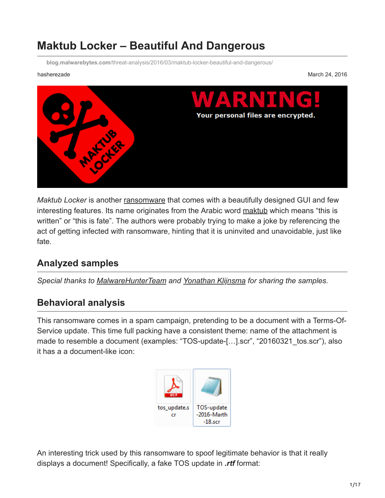# **Maktub Locker – Beautiful And Dangerous**

**blog.malwarebytes.com**[/threat-analysis/2016/03/maktub-locker-beautiful-and-dangerous/](https://blog.malwarebytes.com/threat-analysis/2016/03/maktub-locker-beautiful-and-dangerous/)

hasherezade March 24, 2016



*Maktub Locker* is another [ransomware](https://www.malwarebytes.com/ransomware) that comes with a beautifully designed GUI and few interesting features. Its name originates from the Arabic word [maktub](https://www.quora.com/What-does-maktub-mean-in-Arabic) which means "this is written" or "this is fate". The authors were probably trying to make a joke by referencing the act of getting infected with ransomware, hinting that it is uninvited and unavoidable, just like fate.

# **Analyzed samples**

*Special thanks to [MalwareHunterTeam](https://twitter.com/malwrhunterteam) and [Yonathan Klijnsma](https://twitter.com/ydklijnsma) for sharing the samples.*

# **Behavioral analysis**

This ransomware comes in a spam campaign, pretending to be a document with a Terms-Of-Service update. This time full packing have a consistent theme: name of the attachment is made to resemble a document (examples: "TOS-update-[...].scr", "20160321 tos.scr"), also it has a a document-like icon:



An interesting trick used by this ransomware to spoof legitimate behavior is that it really displays a document! Specifically, a fake TOS update in *.rtf* format: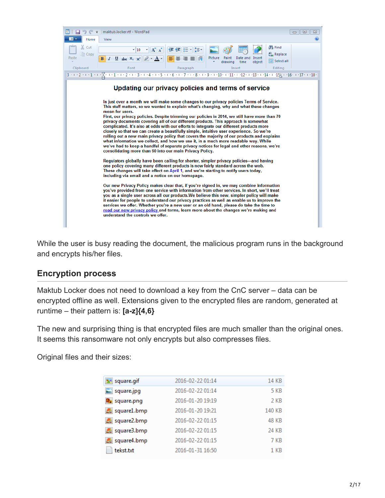

While the user is busy reading the document, the malicious program runs in the background and encrypts his/her files.

#### **Encryption process**

Maktub Locker does not need to download a key from the CnC server – data can be encrypted offline as well. Extensions given to the encrypted files are random, generated at runtime – their pattern is: **[a-z]{4,6}**

The new and surprising thing is that encrypted files are much smaller than the original ones. It seems this ransomware not only encrypts but also compresses files.

Original files and their sizes:

| 2016-02-22 01:14 | 14 KB        |
|------------------|--------------|
| 2016-02-22 01:14 | 5 KB         |
| 2016-01-20 19:19 | 2 KB         |
| 2016-01-20 19:21 | 140 KB       |
| 2016-02-22 01:15 | <b>48 KB</b> |
| 2016-02-22 01:15 | 24 KB        |
| 2016-02-22 01:15 | 7 KB         |
| 2016-01-31 16:50 | $1$ KB       |
|                  |              |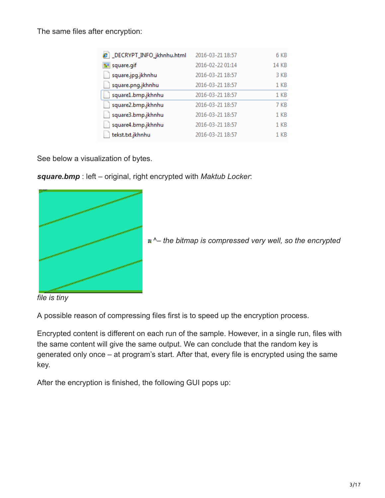The same files after encryption:

| e DECRYPT_INFO_jkhnhu.html | 2016-03-21 18:57 | 6 KB            |
|----------------------------|------------------|-----------------|
| <b>M</b> square.gif        | 2016-02-22 01:14 | <b>14 KB</b>    |
| square.jpg.jkhnhu          | 2016-03-21 18:57 | 3 KB            |
| square.png.jkhnhu          | 2016-03-21 18:57 | 1 <sub>KB</sub> |
| square1.bmp.jkhnhu         | 2016-03-21 18:57 | 1 KB            |
| square2.bmp.jkhnhu         | 2016-03-21 18:57 | 7 KB            |
| square3.bmp.jkhnhu         | 2016-03-21 18:57 | 1 KB            |
| square4.bmp.jkhnhu         | 2016-03-21 18:57 | 1 KB            |
| tekst.txt.jkhnhu           | 2016-03-21 18:57 | 1 KB            |

See below a visualization of bytes.

*square.bmp* : left – original, right encrypted with *Maktub Locker*:



[^](https://blog.malwarebytes.org/wp-content/uploads/2016/03/enc_square1_bmp.png)*– the bitmap is compressed very well, so the encrypted*

*file is tiny*

A possible reason of compressing files first is to speed up the encryption process.

Encrypted content is different on each run of the sample. However, in a single run, files with the same content will give the same output. We can conclude that the random key is generated only once – at program's start. After that, every file is encrypted using the same key.

After the encryption is finished, the following GUI pops up: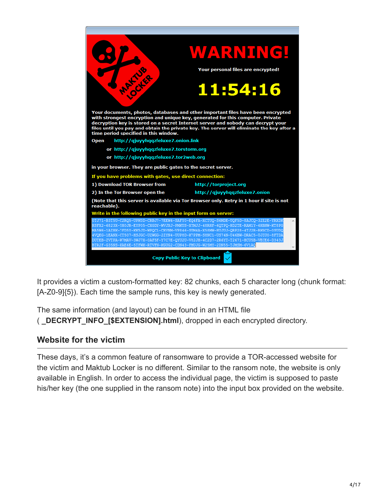

It provides a victim a custom-formatted key: 82 chunks, each 5 character long (chunk format: [A-Z0-9]{5}). Each time the sample runs, this key is newly generated.

The same information (and layout) can be found in an HTML file

( **\_DECRYPT\_INFO\_[\$EXTENSION].html**), dropped in each encrypted directory.

#### **Website for the victim**

These days, it's a common feature of ransomware to provide a TOR-accessed website for the victim and Maktub Locker is no different. Similar to the ransom note, the website is only available in English. In order to access the individual page, the victim is supposed to paste his/her key (the one supplied in the ransom note) into the input box provided on the website.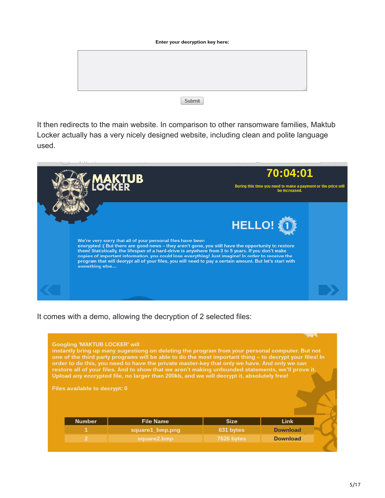| Enter your decryption key here: |        |  |  |  |
|---------------------------------|--------|--|--|--|
|                                 |        |  |  |  |
|                                 |        |  |  |  |
|                                 |        |  |  |  |
|                                 |        |  |  |  |
|                                 | Submit |  |  |  |

It then redirects to the main website. In comparison to other ransomware families, Maktub Locker actually has a very nicely designed website, including clean and polite language used.



It comes with a demo, allowing the decryption of 2 selected files:

| <b>Googling 'MAKTUB LOCKER' will</b> | instantly bring up many sugestiong on deleting the program from your personal computer. But not<br>one of the third party programs will be able to do the most important thing - to decrypt your files! In<br>order to do this, you need to have the private master-key that only we have. And only we can<br>restore all of your files. And to show that we aren't making unfounded statements, we'll prove it.<br>Upload any encrypted file, no larger than 200kb, and we will decrypt it, absolutely free! |             |                 |  |
|--------------------------------------|---------------------------------------------------------------------------------------------------------------------------------------------------------------------------------------------------------------------------------------------------------------------------------------------------------------------------------------------------------------------------------------------------------------------------------------------------------------------------------------------------------------|-------------|-----------------|--|
| Files available to decrypt: 0        |                                                                                                                                                                                                                                                                                                                                                                                                                                                                                                               |             |                 |  |
| <b>Number</b>                        | <b>File Name</b>                                                                                                                                                                                                                                                                                                                                                                                                                                                                                              | <b>Size</b> | Link            |  |
| 1                                    | square1 bmp.png                                                                                                                                                                                                                                                                                                                                                                                                                                                                                               | 631 bytes   | <b>Download</b> |  |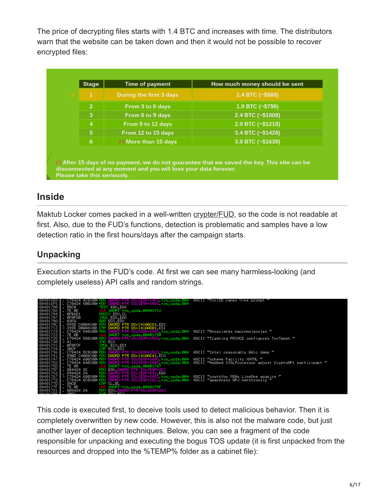The price of decrypting files starts with 1.4 BTC and increases with time. The distributors warn that the website can be taken down and then it would not be possible to recover encrypted files:

| <b>Stage</b>   | Time of payment         | How much money should be sent                                                                |
|----------------|-------------------------|----------------------------------------------------------------------------------------------|
| 1              | During the first 3 days | 1.4 BTC $(~5588)$                                                                            |
| $\overline{2}$ | From 3 to 6 days        | 1.9 BTC $(\sim$ \$798)                                                                       |
| 3              | From 6 to 9 days        | 2.4 BTC $(\sim$ \$1008)                                                                      |
| $\overline{4}$ | From 9 to 12 days       | 2.9 BTC (~\$1218)                                                                            |
| 5              | From 12 to 15 days      | 3.4 BTC (~\$1428)                                                                            |
| 6              | (*) More than 15 days   | 3.9 BTC (~\$1638)                                                                            |
|                |                         |                                                                                              |
|                |                         | (*) After 15 days of no payment, we do not guarantee that we saved the key. This site can be |

# **Inside**

Maktub Locker comes packed in a well-written [crypter/FUD,](https://blog.malwarebytes.org/development/2015/12/malware-crypters-the-deceptive-first-layer/) so the code is not readable at first. Also, due to the FUD's functions, detection is problematic and samples have a low detection ratio in the first hours/days after the campaign starts.

### **Unpacking**

Execution starts in the FUD's code. At first we can see many harmless-looking (and completely useless) API calls and random strings.



This code is executed first, to deceive tools used to detect malicious behavior. Then it is completely overwritten by new code. However, this is also not the malware code, but just another layer of deception techniques. Below, you can see a fragment of the code responsible for unpacking and executing the bogus TOS update (it is first unpacked from the resources and dropped into the %TEMP% folder as a cabinet file):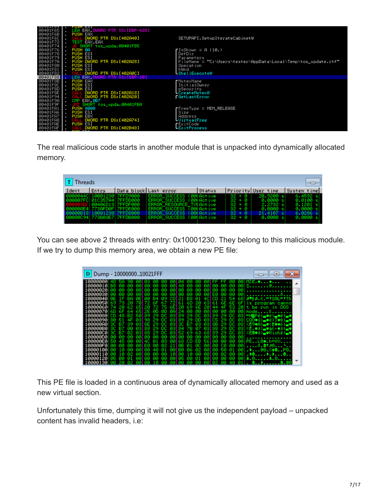| 00401F65   .<br>00401F6B   .<br>PUSH EAX<br>00401F6C<br>DWORD PTR DS:[402A40]<br>SETUPAPI.SetupIterateCabinetW<br>00401F72<br>TEST EAX, EAX<br>00401F74<br>JE SHORT tos_upda.00401FB5<br>$00401$ F76 $\blacksquare$ .<br>PUSH 0R<br><b>r</b> IsShown = A (10.)<br>00401F78<br><b>PUSH ESI</b><br>DefDir<br>00401F79<br><b>PUSH ESI</b><br><b>Parameters</b><br>00401F7A<br>PUSH DWORD PTR DS: [402A28]<br>FileName = "C:\Users\tester\AppData\Local\Temp\tos_update.rtf"<br>00401F80  <br><b>PUSH ESI</b><br>Operation<br><b>PUSH ESI</b><br>00401F81<br>IhWnd<br>00401F82<br>DWORD PTR DS:[402A0C]<br><b>LShellExecuteW</b><br>00401F88<br>LEA EAX.DWORD PTR SS:[EBP-20]<br>00401F8B<br><b>PUSH EAX</b><br><b>r</b> MutexName<br><b>PUSH ESI</b><br>00401F8C<br>InitialOwner<br>00401F8D<br><b>PUSH ESI</b><br>pSecurity<br>00401F8E<br>DWORD PTR DS:[402A18]<br>CALL<br>LCreateMutexA<br>00401F94<br>CALL DWORD PTR DS:[402A20]<br><b>FGetLastError</b><br>00401F9A<br>CMP EAX, 0B7<br>00401F9F<br>SHORT tos_upda.00401FBA<br>00401FA1<br><b>PUSH 8000</b><br>ጠFreeType = MEM_RELEASE<br><b>PUSH ESI</b><br>00401FA6<br>Size<br><b>PUSH EBX</b><br>00401FA7  <br>Address<br>00401FA8<br>DWORD PTR DS:[402A74]<br>LUirtualFree<br>00401FAE<br><b>PUSH ESI</b><br><b>r</b> ExitCode<br>DWORD PTR DS: [402B48]<br><b>LExitProcess</b><br>00401FAF | <b>OOTOILOT</b> | TUON COI                         |  |
|--------------------------------------------------------------------------------------------------------------------------------------------------------------------------------------------------------------------------------------------------------------------------------------------------------------------------------------------------------------------------------------------------------------------------------------------------------------------------------------------------------------------------------------------------------------------------------------------------------------------------------------------------------------------------------------------------------------------------------------------------------------------------------------------------------------------------------------------------------------------------------------------------------------------------------------------------------------------------------------------------------------------------------------------------------------------------------------------------------------------------------------------------------------------------------------------------------------------------------------------------------------------------------------------------------------------------------------------------|-----------------|----------------------------------|--|
|                                                                                                                                                                                                                                                                                                                                                                                                                                                                                                                                                                                                                                                                                                                                                                                                                                                                                                                                                                                                                                                                                                                                                                                                                                                                                                                                                  |                 | LEA EAX, DWORD PTR SS: [EBP-628] |  |
|                                                                                                                                                                                                                                                                                                                                                                                                                                                                                                                                                                                                                                                                                                                                                                                                                                                                                                                                                                                                                                                                                                                                                                                                                                                                                                                                                  |                 |                                  |  |
|                                                                                                                                                                                                                                                                                                                                                                                                                                                                                                                                                                                                                                                                                                                                                                                                                                                                                                                                                                                                                                                                                                                                                                                                                                                                                                                                                  |                 |                                  |  |
|                                                                                                                                                                                                                                                                                                                                                                                                                                                                                                                                                                                                                                                                                                                                                                                                                                                                                                                                                                                                                                                                                                                                                                                                                                                                                                                                                  |                 |                                  |  |
|                                                                                                                                                                                                                                                                                                                                                                                                                                                                                                                                                                                                                                                                                                                                                                                                                                                                                                                                                                                                                                                                                                                                                                                                                                                                                                                                                  |                 |                                  |  |
|                                                                                                                                                                                                                                                                                                                                                                                                                                                                                                                                                                                                                                                                                                                                                                                                                                                                                                                                                                                                                                                                                                                                                                                                                                                                                                                                                  |                 |                                  |  |
|                                                                                                                                                                                                                                                                                                                                                                                                                                                                                                                                                                                                                                                                                                                                                                                                                                                                                                                                                                                                                                                                                                                                                                                                                                                                                                                                                  |                 |                                  |  |
|                                                                                                                                                                                                                                                                                                                                                                                                                                                                                                                                                                                                                                                                                                                                                                                                                                                                                                                                                                                                                                                                                                                                                                                                                                                                                                                                                  |                 |                                  |  |
|                                                                                                                                                                                                                                                                                                                                                                                                                                                                                                                                                                                                                                                                                                                                                                                                                                                                                                                                                                                                                                                                                                                                                                                                                                                                                                                                                  |                 |                                  |  |
|                                                                                                                                                                                                                                                                                                                                                                                                                                                                                                                                                                                                                                                                                                                                                                                                                                                                                                                                                                                                                                                                                                                                                                                                                                                                                                                                                  |                 |                                  |  |
|                                                                                                                                                                                                                                                                                                                                                                                                                                                                                                                                                                                                                                                                                                                                                                                                                                                                                                                                                                                                                                                                                                                                                                                                                                                                                                                                                  |                 |                                  |  |
|                                                                                                                                                                                                                                                                                                                                                                                                                                                                                                                                                                                                                                                                                                                                                                                                                                                                                                                                                                                                                                                                                                                                                                                                                                                                                                                                                  |                 |                                  |  |
|                                                                                                                                                                                                                                                                                                                                                                                                                                                                                                                                                                                                                                                                                                                                                                                                                                                                                                                                                                                                                                                                                                                                                                                                                                                                                                                                                  |                 |                                  |  |
|                                                                                                                                                                                                                                                                                                                                                                                                                                                                                                                                                                                                                                                                                                                                                                                                                                                                                                                                                                                                                                                                                                                                                                                                                                                                                                                                                  |                 |                                  |  |
|                                                                                                                                                                                                                                                                                                                                                                                                                                                                                                                                                                                                                                                                                                                                                                                                                                                                                                                                                                                                                                                                                                                                                                                                                                                                                                                                                  |                 |                                  |  |
|                                                                                                                                                                                                                                                                                                                                                                                                                                                                                                                                                                                                                                                                                                                                                                                                                                                                                                                                                                                                                                                                                                                                                                                                                                                                                                                                                  |                 |                                  |  |
|                                                                                                                                                                                                                                                                                                                                                                                                                                                                                                                                                                                                                                                                                                                                                                                                                                                                                                                                                                                                                                                                                                                                                                                                                                                                                                                                                  |                 |                                  |  |
|                                                                                                                                                                                                                                                                                                                                                                                                                                                                                                                                                                                                                                                                                                                                                                                                                                                                                                                                                                                                                                                                                                                                                                                                                                                                                                                                                  |                 |                                  |  |
|                                                                                                                                                                                                                                                                                                                                                                                                                                                                                                                                                                                                                                                                                                                                                                                                                                                                                                                                                                                                                                                                                                                                                                                                                                                                                                                                                  |                 |                                  |  |
|                                                                                                                                                                                                                                                                                                                                                                                                                                                                                                                                                                                                                                                                                                                                                                                                                                                                                                                                                                                                                                                                                                                                                                                                                                                                                                                                                  |                 |                                  |  |
|                                                                                                                                                                                                                                                                                                                                                                                                                                                                                                                                                                                                                                                                                                                                                                                                                                                                                                                                                                                                                                                                                                                                                                                                                                                                                                                                                  |                 |                                  |  |
|                                                                                                                                                                                                                                                                                                                                                                                                                                                                                                                                                                                                                                                                                                                                                                                                                                                                                                                                                                                                                                                                                                                                                                                                                                                                                                                                                  |                 |                                  |  |
|                                                                                                                                                                                                                                                                                                                                                                                                                                                                                                                                                                                                                                                                                                                                                                                                                                                                                                                                                                                                                                                                                                                                                                                                                                                                                                                                                  |                 |                                  |  |
|                                                                                                                                                                                                                                                                                                                                                                                                                                                                                                                                                                                                                                                                                                                                                                                                                                                                                                                                                                                                                                                                                                                                                                                                                                                                                                                                                  |                 |                                  |  |
|                                                                                                                                                                                                                                                                                                                                                                                                                                                                                                                                                                                                                                                                                                                                                                                                                                                                                                                                                                                                                                                                                                                                                                                                                                                                                                                                                  |                 |                                  |  |
|                                                                                                                                                                                                                                                                                                                                                                                                                                                                                                                                                                                                                                                                                                                                                                                                                                                                                                                                                                                                                                                                                                                                                                                                                                                                                                                                                  |                 |                                  |  |
|                                                                                                                                                                                                                                                                                                                                                                                                                                                                                                                                                                                                                                                                                                                                                                                                                                                                                                                                                                                                                                                                                                                                                                                                                                                                                                                                                  |                 |                                  |  |

The real malicious code starts in another module that is unpacked into dynamically allocated memory.

| $T$ Threads                |        |                    |                                                       |        |                      |                       | $\Box$                             |
|----------------------------|--------|--------------------|-------------------------------------------------------|--------|----------------------|-----------------------|------------------------------------|
| Ident                      | lEntry |                    | Data block Last error                                 | Status |                      | Priority User time    | System time                        |
| 0000044C 10001230 7FFD9000 |        |                    | ERROR SUCCESS (00) Active                             |        | $32 + 8$             | 20.9200 s1            | 6.4592 s                           |
| 000007FC 01C357A4 7FFDD000 |        | 00406D13  7FFDF000 | ERROR SUCCESS (00) Active<br>ERROR RESOURCE TYLActive |        | $32 + 0$<br>$32 + 0$ | 0.0000 sl<br>2.2732 s | $0.0100 \, \text{s}$<br>$0.1201$ s |
| 000000E4 7730FD0F 7FFDE000 |        |                    | ERROR_SUCCESS (00) Active                             |        | $32 + 0$             | 0.0000 sl             | 0.0000 s                           |
| 00000B18 10001230 7FFD8000 |        |                    | ERROR_SUCCESS (00) Active                             |        | $32 + 0$             | 21.4107 s             | 6.0286 s                           |
| 00000094 773B03E7 7FFDB000 |        |                    | ERROR SUCCESS (00) Active                             |        | $32 + 0$             | 0.0000 sl             | 0.0000 s                           |

You can see above 2 threads with entry: 0x10001230. They belong to this malicious module. If we try to dump this memory area, we obtain a new PE file:

| Dump - 1000000010021FFF                                                                                 |                                                                                                                                                                                                               |                                                                    |
|---------------------------------------------------------------------------------------------------------|---------------------------------------------------------------------------------------------------------------------------------------------------------------------------------------------------------------|--------------------------------------------------------------------|
| 90<br>10000000<br>ии<br>10000010<br>88<br>ЙЙ<br>ЙЙ<br>ЙЙ<br>10000020<br>ЙЙ<br>ЙЙ                        | 83<br>ии<br>ЙЙ<br>00<br>-90<br>-90<br>-14<br>ии<br>-90<br>øø.<br>-90<br>- 00<br>-90<br>-90<br>-90<br>-90<br>-40<br>ии<br><b>øø</b><br><b>PRI 88</b><br>øя<br>øø<br>øø<br>ЙЙ<br>øø<br>ЙЙ<br>ЙЙ<br>ЙЙ<br>яя     | иu<br>MZE.<br>00 S@.<br>-90                                        |
| 10000030<br>-йй<br>ии<br>яя<br>ЙЙ<br>ØEI<br>10000040<br>BЯ                                              | 00<br>øø<br>øя<br>øø<br>øя<br>EЙ<br>l AA<br>ØЙ<br>ЙЙ<br>ЙЙ<br>яя<br>88<br>-01<br>09<br>CD.<br>21<br>СD<br>4CI<br>84<br>ЙЙ<br>21<br>-54                                                                        | øø<br>681 871 8.4. = † 80L= † Th                                   |
| 10000050<br>10000060<br>651<br>62.<br>10000070<br>651<br>-60<br>64                                      | 60<br>-20<br>6E 6E<br>6Е<br>22<br>631<br>-61<br>-61<br>67<br>69 6E 20<br>6EI 20<br>-75<br>72.<br>44<br>4F 53<br>20<br>-00<br>øø.<br>ЙЙ<br>ØA<br>øø<br>øв<br>-90<br><b>Aze</b><br>ЙЙ<br>ЙЙ<br>28               | æ<br>LS.<br>program canno<br>-20<br>t be run in DOS<br>ЙЙ<br>mode. |
| <b>GR</b><br>10000080<br>.cn<br>B2.<br>48<br>10000090<br>øзl<br>4F<br>10000000<br>39<br>язі<br>80<br>B7 | DC.<br>89<br>-89<br>-29<br>DC.<br>øзı<br>øзı<br>29<br>29<br>DС<br>89<br>DD<br>øзı<br>29<br>DC.<br>øзı<br>189<br>-29<br>C5<br>98<br>29<br>ЮC<br>03<br>88<br>29<br>87<br>29<br>8E<br>DC.<br>031 SC<br>øзı<br>DС | 031=H#Pë)_#ë)_#ë)_#<br>031 CQ0V\$)_V&)TV+)_V<br>031KÉ9#A)_#KÉ##ő)  |
| 100000B0<br>80<br>B7<br>ЙЙ<br>язі<br>100000C0<br>87<br>Й2<br>яз                                         | - 7B<br>07<br>88<br>DC 03184<br>-29<br>-29<br>831<br>DC.<br>88<br>-89<br>-63<br>DC.<br>69.<br>-681<br>29<br>DC.<br>øзı<br>-52<br>29                                                                           | 031KE.WED_Vä(+VE)_V<br>-83<br>KĒ@♥ŀ)▄♥Richë)▄♥                     |
| 10000000<br>ЙЙ<br>ЙЙ<br>1 АААААЕА<br>ЙЙ<br>ЙЙ<br>100000F0<br>ЙΩ                                         | øø<br>øø<br>øø.<br>øø<br>00I<br>øø<br>ЙЙ<br>ЙЙ<br>- 90<br>øø<br>яя<br>EB<br>561<br>03<br>øя<br>-68<br>-CD<br>øø<br>ЙЙ<br>øй<br>Й1<br>40<br>l AB<br>øc<br>ЙΩ<br>ЙЙ<br>21<br>ЙЙ<br>Й2<br>01<br>си<br>ЙЙ<br>FИ   | øø<br>$PE. . L@$ .h= $00.$<br>øя<br>ЙЙ                             |
| 10000100<br>ЙΜ<br>10000110<br>ЙΠ<br>10000120                                                            | Й2<br>ЙЙ<br>ЙΩ<br>øя<br>BЙ<br>-06.<br>Й1<br>50<br>-01<br>40<br>ии<br>10<br>øø<br>øø.<br>ЙЙ<br>øø<br>ЙЙ<br>ЙЙ<br>ЙΠ<br>02<br>ЙЙ<br>ЙΩ<br>00105<br>ЙЙ<br>ЙЙ<br>ЙЙ<br>-01<br>-90<br>ЙЙ                           | 00. <i></i> .00P0.<br>ЙЙ<br>ЙЙ<br>ЙЙ<br>4.0                        |
| 10001301                                                                                                | - ии<br>40<br>ЙЙ<br>ии<br>Й2                                                                                                                                                                                  | <b>Q</b>                                                           |

This PE file is loaded in a continuous area of dynamically allocated memory and used as a new virtual section.

Unfortunately this time, dumping it will not give us the independent payload – unpacked content has invalid headers, i.e: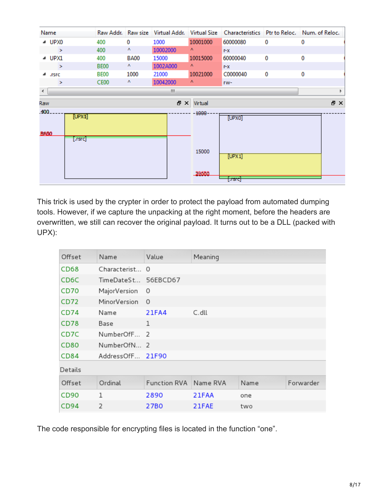|                      | Name    |                    | Raw Addr.        |             |          |          |              |   | Raw size Virtual Addr. Virtual Size Characteristics Ptr to Reloc. Num. of Reloc. |
|----------------------|---------|--------------------|------------------|-------------|----------|----------|--------------|---|----------------------------------------------------------------------------------|
|                      | ⊿ UPX0  |                    | 400              | 0           | 1000     | 10001000 | 60000080     | 0 | 0                                                                                |
|                      | $\geq$  |                    | 400              | ٨           | 10002000 | ٨.       | $r - x$      |   |                                                                                  |
|                      | ⊿ UPX1  |                    | 400              | <b>BA00</b> | 15000    | 10015000 | 60000040     | 0 | 0                                                                                |
|                      | ×       |                    | BE <sub>00</sub> | Λ.          | 1002A000 | ٨        | $r - x$      |   |                                                                                  |
|                      | ⊿ .rsrc |                    | BE00             | 1000        | 21000    | 10021000 | C0000040     | 0 | 0                                                                                |
|                      | ×       |                    | CE00             | Λ           | 10042000 | Λ.       | rw-          |   |                                                                                  |
| $\blacktriangleleft$ |         |                    |                  |             | m.       |          |              |   |                                                                                  |
| Raw                  |         |                    |                  |             | 문 X      | Virtual  |              |   | 日 ×                                                                              |
| .400.                |         |                    |                  |             |          | $-1000$  |              |   |                                                                                  |
|                      |         | [UPX0]             |                  |             |          |          | [UPX0]       |   |                                                                                  |
| <b>BA60</b>          |         |                    |                  |             |          |          |              |   |                                                                                  |
|                      |         | $[.\mathsf{rsrc}]$ |                  |             |          |          |              |   |                                                                                  |
|                      |         |                    |                  |             |          | 15000    |              |   |                                                                                  |
|                      |         |                    |                  |             |          |          | [UPX1]       |   |                                                                                  |
|                      |         |                    |                  |             |          |          |              |   |                                                                                  |
|                      |         |                    |                  |             |          | 20660    |              |   |                                                                                  |
|                      |         |                    |                  |             |          |          | $[$ asrc $]$ |   |                                                                                  |

This trick is used by the crypter in order to protect the payload from automated dumping tools. However, if we capture the unpacking at the right moment, before the headers are overwritten, we still can recover the original payload. It turns out to be a DLL (packed with UPX):

| Offset           | Name                | Value               | Meaning  |      |           |
|------------------|---------------------|---------------------|----------|------|-----------|
| CD68             | Characterist 0      |                     |          |      |           |
| CD6C             | TimeDateSt 56EBCD67 |                     |          |      |           |
| CD70             | MajorVersion        | 0                   |          |      |           |
| CD72             | MinorVersion        | $\Omega$            |          |      |           |
| CD74             | Name                | 21FA4               | C.dll    |      |           |
| <b>CD78</b>      | Base                | $\mathbf{1}$        |          |      |           |
| CD7C             | NumberOfF 2         |                     |          |      |           |
| <b>CD80</b>      | NumberOfN 2         |                     |          |      |           |
| CD84             | AddressOfF 21F90    |                     |          |      |           |
| Details          |                     |                     |          |      |           |
| Offset           | Ordinal             | <b>Function RVA</b> | Name RVA | Name | Forwarder |
| CD <sub>90</sub> | 1                   | 2890                | 21FAA    | one  |           |
| CD94             | 2                   | 27B0                | 21FAE    | two  |           |

The code responsible for encrypting files is located in the function "one".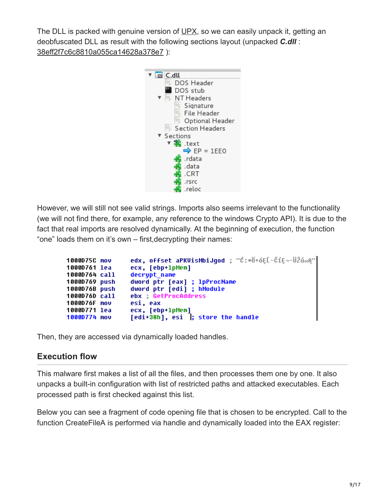The DLL is packed with genuine version of [UPX,](http://upx.sourceforge.net/) so we can easily unpack it, getting an deobfuscated DLL as result with the following sections layout (unpacked *C.dll* : [38eff2f7c6c8810a055ca14628a378e7](https://www.virustotal.com/en/file/1e9aa62db07e4774fb38cd8af1b9d382581e46c77176862abae3501d61d96db0/analysis/) ):



However, we will still not see valid strings. Imports also seems irrelevant to the functionality (we will not find there, for example, any reference to the windows Crypto API). It is due to the fact that real imports are resolved dynamically. At the beginning of execution, the function "one" loads them on it's own – first,decrypting their names:

| 1000D75C mov  | edx, offset aPKVisMbiJqod ; "Ć:*Ő+óEĹ-ČíE¬-ÜŽú«A" |
|---------------|---------------------------------------------------|
| 1000D761 lea  | ecx, [ebp+lpMem]                                  |
| 1000D764 call | decrupt name                                      |
| 1000D769 push | dword ptr [eax] ; 1pProcName                      |
| 1000D76B push | dword ptr [edi] ; hModule                         |
| 1000D76D call | ebx GetProcAddress                                |
| 1000D76F mov  | esi, eax                                          |
| 1000D771 lea  | ecx, [ebp+lpMem]                                  |
| 1000D774 mov  | [edi+38h], esi ; store the handle                 |

Then, they are accessed via dynamically loaded handles.

#### **Execution flow**

This malware first makes a list of all the files, and then processes them one by one. It also unpacks a built-in configuration with list of restricted paths and attacked executables. Each processed path is first checked against this list.

Below you can see a fragment of code opening file that is chosen to be encrypted. Call to the function CreateFileA is performed via handle and dynamically loaded into the EAX register: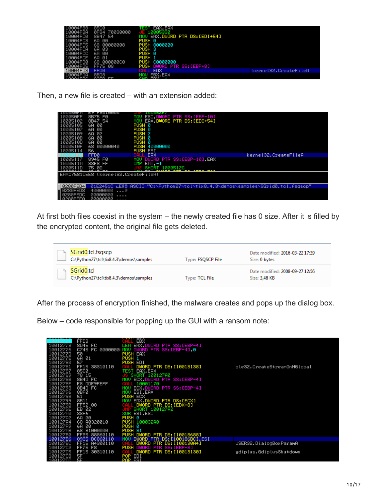| 1004FB8   | 8500             | EAX.EAX<br>ня              |                      |
|-----------|------------------|----------------------------|----------------------|
| 10004FBA  | 70030000<br>0F84 | 10005330                   |                      |
| 10004FC0  | 8B47 54          | EAX DWORD PTR DS: [EDI+54] |                      |
| 10004FC3  | 6A 00            | PUSH 0                     |                      |
| 10004FC5  | 68 00000008      | <b>PUSH 8000000</b>        |                      |
| 10004FCA  | 6A.<br>03        | PUSH <sub>3</sub>          |                      |
| 10004FCC  | 6A<br>-00        | PUSH 0                     |                      |
| 10004FCE  | 6A 01            | PUSH <sub>1</sub>          |                      |
| 10004FD0  | 00000000<br>68.  | PUSH C0000000              |                      |
| 10004FD5  | FF75 08          | PUSH DWORD PTR SS: [EBP+8] |                      |
| 10004FD8  | FFD <sub>0</sub> | EAX<br>:ALL                | kernel32.CreateFileA |
| 10004FDA  | 8BD <sub>8</sub> | EBX.EAX<br>MOW             |                      |
| 1 GGG4EDC | OOED EE          | CMD CDV                    |                      |

Then, a new file is created – with an extension added:

| ортаааа                                    |                                                                                |                       |
|--------------------------------------------|--------------------------------------------------------------------------------|-----------------------|
| 8B75 F0<br>l00050FF                        | ESI.DWORD PTR SS:[EBP-10]<br>MOU                                               |                       |
| 8B47 54<br>10005102                        | EAX, DWORD PTR DS: [EDI+54]                                                    |                       |
| 68 00<br>10005105                          | PUSH 0                                                                         |                       |
| 6A<br>-00<br>10005107                      | PUSH 0                                                                         |                       |
| 6A 02<br>10005109                          | PUSH 2                                                                         |                       |
| 6A 00<br>1000510B                          | PUSH 0                                                                         |                       |
| 6A 00<br>1000510D                          | PUSH 0                                                                         |                       |
| 00000040<br>1000510F<br>68                 | PUSH 40000000                                                                  |                       |
| 56<br>10005114                             | <b>PUSH ESI</b>                                                                |                       |
| FFD <sub>0</sub>                           | EAX                                                                            | kerne132. CreateFileA |
| 8945 FØ<br>I AAA5117                       | DWORD PTR SS:[EBP-10] EAX                                                      |                       |
| 83F8 FF<br>L000511A                        | CMP EAX.-1                                                                     |                       |
| <b>AAA511D</b><br>75 00                    | SHORT 1000512C                                                                 |                       |
|                                            |                                                                                |                       |
| EAX=7581CEE8 (kernel32.CreateFileA)        |                                                                                |                       |
|                                            |                                                                                |                       |
| 0280FED4                                   | 01E2451C LE00 ASCII "C:\Python27\tol\tix8.4.3\demos\samples\SGrid0.tol.fsqscp" |                       |
| 40000000<br>0280FED8<br>@                  |                                                                                |                       |
| <b>ARAAAAAA</b><br>0280FEDC                |                                                                                |                       |
| .<br><u> ААААААААА</u><br><u> 0280FFF0</u> |                                                                                |                       |

At first both files coexist in the system – the newly created file has 0 size. After it is filled by the encrypted content, the original file gets deleted.

| SGrid0.tcl.fsqscp<br>C:\Python27\tcl\tix8.4.3\demos\samples      | Type: FSQSCP File | Date modified: 2016-03-22 17:39<br>Size: 0 bytes |
|------------------------------------------------------------------|-------------------|--------------------------------------------------|
| SGrid <sub>0.tcl</sub><br>C:\Python27\tcl\tix8.4.3\demos\samples | Type: TCL File    | Date modified: 2008-09-27 12:56<br>Size: 3,48 KB |

After the process of encryption finished, the malware creates and pops up the dialog box.

Below – code responsible for popping up the GUI with a ransom note:

| -------  |                     |                                      |                             |
|----------|---------------------|--------------------------------------|-----------------------------|
|          | FFD <sub>3</sub>    | <b>EBX</b>                           |                             |
| 10012773 | 8D45 FC             | LEA EAX.DWORD PTR SS:[EBP-4]         |                             |
| 10012776 | C745 FC 0000000 MOV | DWORD PTR SS:[EBP-4] 0               |                             |
|          |                     |                                      |                             |
| 1001277D | 50                  | PUSH EAX                             |                             |
| 1001277E | 6A 01               | PUSH <sub>1</sub>                    |                             |
| 10012780 | 57                  | PUSH EDI                             |                             |
| 10012781 | FF15 38310110       | DWORD PTR DS:[10013138]              | ole32.CreateStreamOnHGlobal |
| 10012787 | 8500                | TEST<br>EAX, EAX                     |                             |
| 10012789 | 78 15               | SHORT 100127A0                       |                             |
| 1001278B | 8B4D FC             | ECX.DWORD PTR SS: [EBP-4]<br>MOU     |                             |
| 1001278E | E8 DDE9FEFF         | 10001170<br>nд                       |                             |
| 10012793 | 8B4D FC             | ECX.DWORD PTR SS:[EBP-4]<br>MOU      |                             |
|          |                     |                                      |                             |
| 10012796 | 8BF0                | ESI, EAX<br>MOU                      |                             |
| 10012798 | 51                  | <b>PUSH ECX</b>                      |                             |
| 10012799 | 8B11                | EDX DWORD PTR DS: [ECX]<br>MOU       |                             |
| 1001279B | FF52 08             | CALL DWORD PTR DS: [EDX+8]           |                             |
| 1001279E | EB 02               | SHORT 100127A2<br>n                  |                             |
| 100127A0 | 33F6                | XOR ESI.ESI                          |                             |
| 100127A2 | 6A 00               | PUSH 0                               |                             |
| 10012784 | 68 80320010         | PUSH 100032A0                        |                             |
| 10012789 | 6A 00               | PUSH 0                               |                             |
| 100127AB | 68 81000000         | PUSH <sub>81</sub>                   |                             |
| 100127B0 | FF35 88860110       | PUSH DWORD PTR DS: [10018688]        |                             |
| 10012786 | 8935 BC860110       | DWORD PTR DS: [100186BC], ESI<br>MOU |                             |
| 100127BC | FF15 A4300110       | DS: [100130A4]<br>DWORD PTR          |                             |
|          |                     |                                      | USER32.DialogBoxParamA      |
| 10012702 | <b>FF75 F8</b>      | PUSH DWORD PTR SS:[EBP-8]            |                             |
| 10012705 | FF15 30310110       | . DWORD PTR DS:[10013130]            | gdiplus.GdiplusShutdown     |
| 100127CB | 5F                  | POP EDI                              |                             |
| 10012700 | ᆸ고                  | ESI                                  |                             |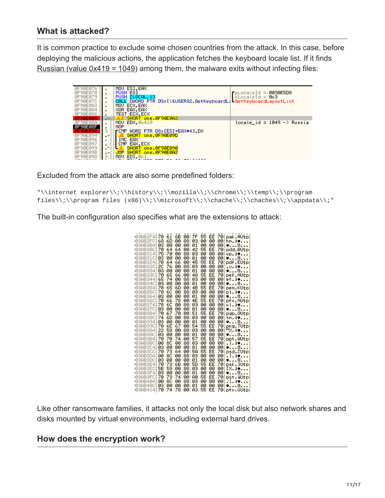#### **What is attacked?**

It is common practice to exclude some chosen countries from the attack. In this case, before deploying the malicious actions, the application fetches the keyboard locale list. If it finds Russian (value  $0x419 = 1049$ ) among them, the malware exits without infecting files:

| 0F90E076<br>0F90E078<br>0F90E079<br>0F90E07C<br>0F90E082<br>0F90E084<br>0F90E086                                       | ٠<br>٠<br>٠<br>٠<br>٠<br>$\blacksquare$              | MOU ESI.EAX<br><b>PUSH ESI</b><br>ELOCAL.11<br><b>PUSH</b><br>CALL DWORD PTR DS: [<&USER32. GetKeyboardL{LGetKeyboardLayoutList<br>MOU ECX.EAX<br>XOR EAX, EAX<br>TEST ECX.ECX             | $P_{\text{pLocaleld}} = 0030E5D8$<br>$n$ LocaleId = 0x3 |
|------------------------------------------------------------------------------------------------------------------------|------------------------------------------------------|--------------------------------------------------------------------------------------------------------------------------------------------------------------------------------------------|---------------------------------------------------------|
| 0F90E088                                                                                                               | $\sim$                                               | JLE SHORT one.0F90E0A2                                                                                                                                                                     |                                                         |
| 0F90E08A<br><b>ØF9ØEØ8F</b><br>0F90E090<br>0F90E094<br>0F90E096<br><b>ØF9ØE097</b><br>0F90E099<br>0F90E09B<br>0F90E09D | ٠<br>⋋<br>$\cdot$<br>٠<br>$\cdot^{\prime}$<br>$\sim$ | MOU EDX.08419<br><b>NOP</b><br>┎CMP WORD PTR DS:[ESI+EAX#4].DX<br>SHORT one, 0F90E09D<br>INC EAX<br>CMP EAX.ECX<br>SHORT one, 0F90E090<br>SHORT one, 0F90E0A2<br><b>JMP</b><br>MOU EDI.0x1 | locale_id = 1049 −> Russia                              |

Excluded from the attack are also some predefined folders:

```
"\\internet explorer\\;\\history\\;\\mozilla\\;\\chrome\\;\\temp\\;\\program
files\\;\\program files (x86)\\;\\microsoft\\;\\chache\\;\\chaches\\;\\appdata\\;"
```
The built-in configuration also specifies what are the extensions to attack:

| 103AB2F4           | 70 | 61 | 6В | ØØ | 7F | 55 | EE | 70 | pak.∆Utp       |  |
|--------------------|----|----|----|----|----|----|----|----|----------------|--|
| 103AB2FC           | 68 | 60 | 00 | 88 | øз | 00 | 00 | 00 | hm <b>.∤♥</b>  |  |
| 103AB304           | øз | øø | 00 | 00 | Ø1 | øø | 00 | 00 | v. 0.          |  |
| 103AB30C           | 70 | 64 | 64 | 00 | 42 | 55 | EE | 70 | pdd.BUtp       |  |
| <b>03AB31</b><br>4 | 75 | 70 | 00 | 88 | øз | 00 | 00 | 00 | up.ł♥          |  |
| 03AB31C            | øз | 00 | 00 | 00 | Ø1 | 00 | 00 | 00 | <b></b> 0      |  |
| 103AB324           | 70 | 64 | 66 | 00 | 45 | 55 | EE | 70 | pdf.EUtp       |  |
| 103AB32C           | 20 | 76 | 00 | 88 | øз | 00 | 00 | 00 | .v.ł#          |  |
| IØ3AB334           | øз | 00 | 00 | 00 | Ø1 | 00 | 00 | 00 | v. 0.          |  |
| 103AB33C           | 70 | 65 | 66 | 00 | 48 | 55 | EE | 70 | pef.HUtp       |  |
| IØ3AB344           | 65 | 74 | øø | 88 | ØЗ | 00 | 00 | 00 | et.ł♥          |  |
| 103AB34C           | ØЗ | øø | øø | øø | 01 | 00 | 00 | 00 | v. 0.          |  |
| IØ3AB354           | 70 | 65 | 60 | 00 | 4B | 55 | EE | 70 | pem.KUtp       |  |
| 103AB35C           | 70 | 60 | øø | 88 | ØЗ | 00 | 00 | 00 | pl.ł♥          |  |
| 103AB364           | ØЗ | øø | 00 | 00 | 01 | 00 | 00 | 00 | <b></b> 0      |  |
| 103AB36C           | 70 | 66 | 78 | ØЙ | 4E | 55 | EE | 70 | pfx.NUtp       |  |
| 103AB374           | 78 | 60 | 00 | 88 | ØЗ | øø | øø | 00 | ×l.ł♥          |  |
| 103AB37C           | 03 | 00 | øø | 00 | 01 | øø | 00 | 00 | ♥8             |  |
| 103AB384           | 70 | 67 | 70 | øø | 51 | 55 | EE | 70 | pgp.QUtp       |  |
| 103AB38C           | 74 | 60 | 00 | 88 | ØЗ | 00 | 00 | 00 | tm <b>.∤♥</b>  |  |
| 103AB394           | ØЗ | øø | 00 | 00 | 01 | øø | 00 | 00 | ♥0             |  |
| 103AB39C           | 70 | 6Е | 67 | 00 | 54 | 55 | EE | 70 | png.TUţp       |  |
| 103AB3A4           | 22 | 58 | øø | 88 | ØЗ | øø | 00 | 00 | "X.ł           |  |
| 103AB3AC           | ØЗ | øø | 00 | 00 | 01 | øø | øø | 00 | v. 0.          |  |
| 103AB3B4           | 70 | 70 | 74 | øø | 57 | 55 | EE | 70 | ppt.WUtp       |  |
| 103AB3BC           | øø | 80 | øø | 88 | ØЗ | øø | øø | øø | .ī. <i>t</i> v |  |
| <b>103AB3C4</b>    | ØЗ | øø | øø | øø | Ø1 | øø | øø | øø | v. 0.          |  |
| 103AB3CC           | 70 | 73 | 64 | øø | 5A | 55 | EE | 70 | psd.ZUtp       |  |
| 103AB3D4           | øø | 80 | øø | 88 | øз | øø | 00 | 00 | .ī. kv.        |  |
| 103AB3DC           | øз | øø | øø | øø | Ø1 | øø | 00 | 00 | ♥0             |  |
| 103AB3E4           | 70 | 73 | 6В | øø | 50 | 55 | EE | 70 | psk.]Utp       |  |
| 103AB3EC           | 5В | 58 | øø | 88 | ØЗ | øø | øø | 00 | [X.ł♥          |  |
| 103AB3F4           | ØЗ | 00 | øø | øø | Ø1 | øø | 00 | 00 | v. 8.          |  |
| 103AB3FC           | 70 | 73 | 74 | øø | AØ | 55 | EE | 70 | pst.åUtp       |  |
| 103AB404           | øø | 80 | øø | 88 | ØЗ | øø | øø | 00 | .ī. kv         |  |
| 103AB40C           | øз | øø | 00 | øø | Ø1 | øø | 00 | ØØ | v. 0.          |  |
| 103AB414           | 70 | 74 | 78 | 00 | ΑЗ | 55 | EE | 70 | ptx.üUtp       |  |

Like other ransomware families, it attacks not only the local disk but also network shares and disks mounted by virtual environments, including external hard drives.

#### **How does the encryption work?**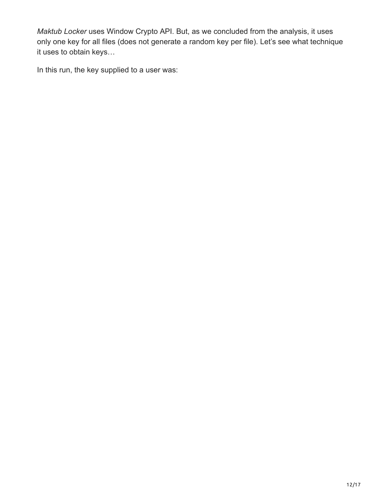*Maktub Locker* uses Window Crypto API. But, as we concluded from the analysis, it uses only one key for all files (does not generate a random key per file). Let's see what technique it uses to obtain keys…

In this run, the key supplied to a user was: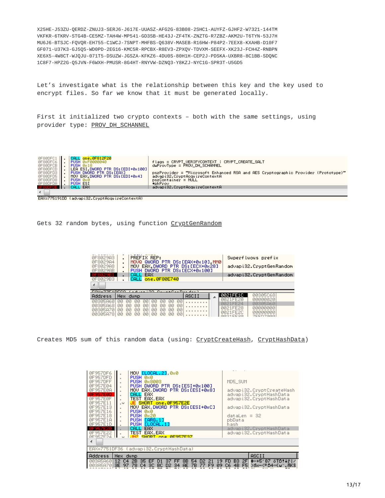X25HE-J53ZU-QERDZ-ZNUJ3-SERJ6-J617E-UUASZ-AFG2G-83B08-2SHC1-AUYFZ-GJHF2-W7321-144TM VKFKR-6TKRV-STG4B-CE5MZ-TAH4W-MP541-GD3SB-HE43J-ZF4TK-ZNZTG-R7ZBZ-AKM2U-T6TYN-53J7H MU6J6-BTSJC-FQVQR-EH755-C1WCJ-7SNPT-MHFBS-Q638V-MASEB-R16HW-P84P2-7EEX8-KXAHB-D10F7 GF071-U37K3-GJ5Q5-WD0PD-2EG16-KMC5R-RPCBX-R8EV3-ZPXQV-TDVXM-SEEFX-XK23J-FCH4Z-RNBPN XE6X5-4W8CT-WJQJU-071T5-DSUZW-JGSZA-KFKZ6-4DU0S-80H1H-CEP2J-PDSKA-UXBR8-8C1BB-SDQNC 1C8F7-HPZ2G-Q5JVN-F6WXH-PMUSR-8G4HT-RNYVW-DZNQ3-Y8KZJ-NYC1G-SPR3T-U5GD5

Let's investigate what is the relationship between this key and the key used to encrypt files. So far we know that it must be generated locally.

First it initialized two crypto contexts – both with the same settings, using provider type: [PROV\\_DH\\_SCHANNEL](https://msdn.microsoft.com/en-us/library/windows/desktop/aa387431%28v=vs.85%29.aspx)



EAX=775191DD (advapi32.CryptAcquireContextA)

Gets 32 random bytes, using function [CryptGenRandom](https://msdn.microsoft.com/pl-pl/library/windows/desktop/aa379942%28v=vs.85%29.aspx)

| <b>ØF802983</b><br><b>ØF802984</b><br><b>ØF802988</b><br><b>ØF8029AB</b><br>0F8029B3<br>∢ | PREFIX REP:<br>٠<br>MOVQ QWORD PTR DS:[EAX+0x10] MM0<br>٠<br>MOV EAX.DWORD PTR DS:[ECX+0x28]<br>٠<br>PUSH DWORD PTR DS: [ECX+0x100]<br>٠<br>EAX<br>CALL<br>CALL one.0F80E740                                |       | Superfluous prefix<br>advapi32.CryptGenRandom<br>advapi32.CryptGenRandom                  |
|-------------------------------------------------------------------------------------------|-------------------------------------------------------------------------------------------------------------------------------------------------------------------------------------------------------------|-------|-------------------------------------------------------------------------------------------|
| FOV-77E10ECO                                                                              | $\alpha = 100$ $\alpha$ $\alpha = 0.000$ $\alpha = 0.000$                                                                                                                                                   |       |                                                                                           |
| Address                                                                                   | <b>Hex</b><br>dump                                                                                                                                                                                          | ASCII | 00305068<br>0021FE1C                                                                      |
| 00305860<br>00305868<br>00305870<br>00305A781                                             | <b>ØØ</b><br>ЙЙ<br>ЙЙ<br>ии<br>ии<br>ии<br>ии<br><b>ØØ</b><br>ЙЙ<br>øø<br>ЙЙ<br>ЙЙ<br>ЙЙ<br>ЙЙ<br>ЙЙ<br><b>ØØ</b><br>ЙЙ<br>ЙЙ<br>ЙЙ<br>ЙЙ<br>ЙЙ<br>ЙЙ<br>ЙЙ<br>00<br>ЙЙ<br>øø<br>ЙЙ<br>ЙЙ<br>ЙЙ<br>ЙЙ<br>00 |       | 0021FF20<br><u> ААААААА2А</u><br>0021FF24<br>00305060<br>0021FF28<br>ииииииии<br>0021FF2C |

Creates MD5 sum of this random data (using: [CryptCreateHash,](https://msdn.microsoft.com/en-us/library/windows/desktop/aa379908%28v=vs.85%29.aspx) [CryptHashData](https://msdn.microsoft.com/en-us/library/windows/desktop/aa380202%28v=vs.85%29.aspx))

| 0F957DF6<br>0F957DFD<br>ØF957DFF<br>0F957E04<br>0F957E0A<br><b><i>AF957EAD</i></b><br>0F957E0F<br><b>ØF957E11</b><br><b>ØF957E13</b><br>0F957E16<br><b>ØF957E18</b><br>0F957E1A<br>0F957E1D<br>지도의 자기 마시지 | MOU ELOCAL.21, 0x0<br>PUSH 0x0<br><b>PUSH 0x8003</b><br>PUSH DWORD PTR DS:[ESI+0x100]<br>MOV EAX.DWORD PTR DS:[ESI+0x8]<br>CALL EAX<br>TEST EAX.EAX<br>SHORT one, 0F957E2E<br>$\sim$<br>MOU EAX DWORD PTR DS: [ESI+0xC]<br>PUSH 0x0<br>PUSH 0x20<br>PUSH [ARG.1]<br>PUSH ELOCAL.11<br>ICALL EAX | MD5 SUM<br>advapi32.CryptCreateHash<br>advapi32.CryptHashData<br>advapi32.CryptHashData<br>advapi32.CryptHashData<br>$dataLen = 32$<br>pbData<br>hash<br>advapi32. CryptHashData |
|-----------------------------------------------------------------------------------------------------------------------------------------------------------------------------------------------------------|-------------------------------------------------------------------------------------------------------------------------------------------------------------------------------------------------------------------------------------------------------------------------------------------------|----------------------------------------------------------------------------------------------------------------------------------------------------------------------------------|
| ØF957E22<br>GEGEZE24<br>∢                                                                                                                                                                                 | TEST EAX.EAX<br>JNZ SHORT one GESEZERZ                                                                                                                                                                                                                                                          | advapi32.CryptHashData                                                                                                                                                           |
|                                                                                                                                                                                                           | EAX=7751DF36 (advapi32.CryptHashData)                                                                                                                                                                                                                                                           |                                                                                                                                                                                  |
| Address                                                                                                                                                                                                   | Hex dump                                                                                                                                                                                                                                                                                        | ASCII                                                                                                                                                                            |
| 00385860<br>003A5A70                                                                                                                                                                                      | 35 EF<br>8B.<br>12<br>2В<br>37<br>54<br>C4<br>FF<br>D2.<br>зЕ<br>78<br>F <sub>9</sub><br>09<br>97<br>C <sub>4</sub><br>3C<br>BC.<br>7В.<br>77<br>D <sub>2</sub><br><b>AE</b><br>34                                                                                                              | <b>←+5′Đ7 öTD!↓ř / </b><br>B3.<br>2FI<br>FD.<br>>бх−<≝D4≪€⊌‴. АК®і<br>C6<br>4B<br>F <sub>5</sub>                                                                                 |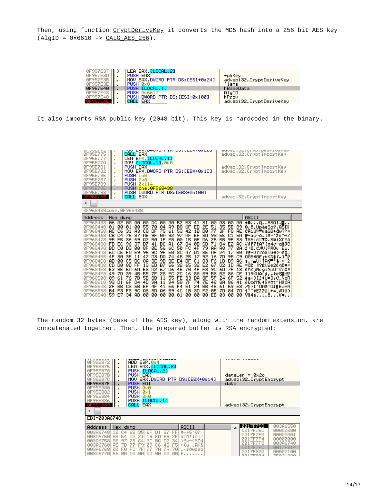Then, using function [CryptDeriveKey](https://msdn.microsoft.com/en-us/library/windows/desktop/aa379916%28v=vs.85%29.aspx) it converts the MD5 hash into a 256 bit AES key  $(AlgID = 0x6610 -> CALG AES_256).$ 

| 0F957E37<br>0F957E3A<br>0F957E3B<br>0F957E3E | LEA EAX. [LOCAL.2]<br>PUSH EAX<br>MOV EAX.DWORD PTR DS: [ESI+0x24]<br>PUSH 0x0 | #phKey<br>advapi32. CryptDeriveKey<br>flags |
|----------------------------------------------|--------------------------------------------------------------------------------|---------------------------------------------|
| 0F957E40                                     | ATLOCHL, 1T<br><b>PUSH</b>                                                     | hBaseData                                   |
| 0F957E43                                     | <b>PUSH</b><br><b>Øx6610</b>                                                   | AlgID                                       |
| 0F957E48                                     | DWORD PTR DS: [ESI+0x100]<br><b>PUSH</b>                                       | hProv                                       |
|                                              | EAX<br><b>CALI</b>                                                             | advapi32. CryptDeriveKey                    |

It also imports RSA public key (2048 bit). This key is hardcoded in the binary.

| UF 70E ( ( C<br>0F95E775<br>0F95E777<br>0F95E77A<br>0F95E781<br>0F95E782<br>0F95E785<br>0F95E787<br>0F95E789<br>0F95E78E<br>0F95E793<br>0F95E799                                                                     | HUY EHA DWUND FIN DOILEDATOXZOJ<br>CALL EAX<br>LEA EAX, <mark>[LOCAL.1]</mark><br>$\blacksquare$<br>MOV [LOCAL.1], 0x0<br>$\,$<br><b>PUSH EAX</b><br>×<br>MOV EAX.DWORD PTR DS:[EBX+0x1C]<br>$\blacksquare$<br>PUSH 0x0<br>$\blacksquare$<br>PUSH 0x0<br>$\blacksquare$<br><b>PUSH</b><br>Øx114<br>$\,$<br><b>PUSH</b><br>one, 0F968438<br>٠<br>DWORD PTR DS: [EBX+0x100]<br><b>PUSH</b><br>$\blacksquare$<br>CALL<br>EAX<br>$\blacksquare$<br>0F968438=one.0F968438                                                                                                                                                                                                                                                                                                                                                                                                                                                                                                                                                                                          |                                                                                                                                                                                                                                                                                                                                                                                                                                                                                                                                                                                                                                                                                                                                                                                                         | gayahroc*nt.ahrne.ahr.navea<br>advapi32.CryptImportKey<br>advapi32. CryptImportKey<br>advapi32. CryptImportKey<br>advapi32. CryptImportKey                                                                                                                                                                                                                                                                                                                                                                                                                                                                         |
|----------------------------------------------------------------------------------------------------------------------------------------------------------------------------------------------------------------------|---------------------------------------------------------------------------------------------------------------------------------------------------------------------------------------------------------------------------------------------------------------------------------------------------------------------------------------------------------------------------------------------------------------------------------------------------------------------------------------------------------------------------------------------------------------------------------------------------------------------------------------------------------------------------------------------------------------------------------------------------------------------------------------------------------------------------------------------------------------------------------------------------------------------------------------------------------------------------------------------------------------------------------------------------------------|---------------------------------------------------------------------------------------------------------------------------------------------------------------------------------------------------------------------------------------------------------------------------------------------------------------------------------------------------------------------------------------------------------------------------------------------------------------------------------------------------------------------------------------------------------------------------------------------------------------------------------------------------------------------------------------------------------------------------------------------------------------------------------------------------------|--------------------------------------------------------------------------------------------------------------------------------------------------------------------------------------------------------------------------------------------------------------------------------------------------------------------------------------------------------------------------------------------------------------------------------------------------------------------------------------------------------------------------------------------------------------------------------------------------------------------|
| Address                                                                                                                                                                                                              | Hex.<br>dump                                                                                                                                                                                                                                                                                                                                                                                                                                                                                                                                                                                                                                                                                                                                                                                                                                                                                                                                                                                                                                                  |                                                                                                                                                                                                                                                                                                                                                                                                                                                                                                                                                                                                                                                                                                                                                                                                         | ASCII                                                                                                                                                                                                                                                                                                                                                                                                                                                                                                                                                                                                              |
| ØF968438<br>ØF968448<br>ØF968458<br>ØF968468<br>0F968478<br>0F968488<br>0F968498<br>0F9684A8<br>0F9684B8<br>0F9684C8<br>0F9684D8<br>0F9684E8<br>0F9684F8<br>0F968508<br>0F968518<br>0F968528<br>0F968538<br>0F968548 | 02<br>øø<br>06<br>00<br>00<br>A <sup>4</sup><br>øø<br>00<br>55<br>00<br>70<br>84<br><b>A9</b><br>01<br>øø<br>01<br>C8<br>75<br><b>AC</b><br>31<br>AЗ<br>DF<br>61<br>C6<br><b>AE</b><br>9F<br>CВ<br>75<br>87<br>ØA<br>92<br>C <sub>4</sub><br>BØ<br>9B<br>36<br>A2<br>F5<br>69<br>1F<br>E8<br>96<br>41<br>BC<br><b>FB</b><br>EC<br>37<br>D7<br>A1<br>8F<br>56<br>DЗ<br>00<br>ØE<br><b>BD</b><br>СØ<br>6C<br>FØ<br>96<br>9C<br>9F<br>60<br>CE<br>E9<br>EØ<br>D <sub>3</sub><br>DA<br>74<br>4F<br>30<br>35<br>47<br>11<br>C5<br>8A<br>ЗE<br>9B<br>8E<br><b>AD</b><br>øø<br><b>DC</b><br>B7<br>8D<br>FF<br>13<br>ED<br>56<br>CD<br>DØ<br>E3<br>A2<br>67<br>E <sub>2</sub><br>8E<br>5A<br>6A<br>D6<br>55<br>28<br>EC<br>7D<br>39<br>4B<br>7F<br>49<br>5B<br>8D<br>89<br>76<br>70<br>55<br>61<br>11<br>93<br>9A<br>6F<br>D <sub>4</sub><br>4D<br>11<br>94<br>D1<br>C3<br><b>5B</b><br>4F<br>E6<br>2F<br>EF<br>41<br>BB<br>F <sub>3</sub><br>8D<br>F3<br>A <sub>8</sub><br>B9<br><b>B4</b><br>9C<br><b>A6</b><br>59<br>E7<br>34<br><b>AD</b><br>ØØ<br>øø<br>ЙØ<br>00 | 31<br>52<br>53<br>00<br>08<br>41<br>51<br>2E<br>35<br>B <sub>8</sub><br>6F<br>ED<br>77<br>53<br>3F<br>42<br>DØ<br>1B<br>5E<br>97<br>8D<br>93<br><b>AF</b><br>EF<br><b>5B</b><br>15<br>D6<br>25<br>00<br>ØF<br>CD<br>ØΒ<br>71<br>84<br>67<br>34<br>A8<br>50<br>FC<br>4F<br>79<br>AA<br>3C<br>3E<br>24<br>47<br>ĤF<br>D <sub>1</sub><br>92<br><b>7D</b><br>4B<br>25<br>17<br>16<br>83<br>E4<br>DF<br>C1<br>F6<br>1B<br>32<br>E <sub>2</sub><br>D <sub>2</sub><br>65<br>32<br>67<br>F <sub>3</sub><br>6D<br>9C<br>70<br>4F<br>4E<br>2C<br>B <sub>2</sub><br>16<br>88<br>89<br>B8<br><b>FE</b><br>33<br>8F<br>5F<br>24<br>DA<br>58<br>7F<br>7E<br>8A<br>74<br>48<br>51<br>61<br>F <sub>4</sub><br>24<br>BB<br>45<br>F <sub>2</sub><br><b>7D</b><br>4C<br>1B<br>ØE<br>3D<br>EB<br>03<br>01<br>øø<br>øø<br>øø | 48ARSA1.O<br>00<br>00<br><b>5B</b><br>0.0.UpäeSoY.Q5[il<br>B9<br>F8<br><b>AE</b><br>CA1ŭ≝∎uaSB+đw?°⊹<br>C1<br>5A<br>π—uo«ŏ. (ś»12δ^±Z<br>9F<br>83<br>ŤS6ió©⊤R.S*fZ[čā<br>E <sub>2</sub><br>AC<br>űýľ7īA≝ig4∂≣gäőC<br>77<br>ØA<br>2 E.CAULPROJ EW.<br>17<br>BØ<br>1往-012も66くGĐ>>冷ま法<br>9B<br>C9<br>0054GËrtK%\$(.)TF<br>D <sub>9</sub><br>s.t_ŏ>†An—∸ā÷⊷ž<br>A6<br>1D<br><b>AE</b><br>7F<br>13<br>0AZjNogiNpO*tmo!!<br>86<br>CE<br>ID9KUA(y, tëŞ蓋dir<br>6F<br>52<br>ëav}[24U≡3rC_\$oR<br>86<br>41<br>õÐoďMü∢öX∆t″HŏcA<br>59<br>E3<br>⊿m FD10ASYQ\$mEaYN<br>84<br>7D<br>H * * ∀E221 L+= (0)ä}<br>øø<br>Yš4s00♥<br>øø |

The random 32 bytes (base of the AES key), along with the random extension, are concatenated together. Then, the prepared buffer is RSA encrypted:

| 0F95E872<br>ØF95E875<br>95E878<br><b>ØF95E87B</b><br>95E87C<br><b>ØF95E87F</b><br>95E880<br>ЙF<br>95E882<br>'95E884<br>95E886<br>295239 | ADD ESP, 0x4<br>EAX [LOCAL.3]<br>LEA.<br>PUSH ELOCAL.21<br>PUSH EAX<br>MOV EAX.DWORD PTR DS: [EBX+0x14]<br>EDI<br><b>PUSH</b><br><b>PUSH</b><br><b>0x0</b><br><b>PUSH</b><br>Øx 1<br><b>PUSH</b><br><b>ØxØ</b><br><b>PUSH</b><br><b>ELOCAL, 11</b><br>CALL<br>EAX | dataLen = 0x2c<br>advapi32.CryptEncrypt<br>data<br>advapi32.CryptEncrypt |                                                                               |                                                                                        |  |  |  |
|-----------------------------------------------------------------------------------------------------------------------------------------|-------------------------------------------------------------------------------------------------------------------------------------------------------------------------------------------------------------------------------------------------------------------|--------------------------------------------------------------------------|-------------------------------------------------------------------------------|----------------------------------------------------------------------------------------|--|--|--|
| EDI=003A6748                                                                                                                            |                                                                                                                                                                                                                                                                   |                                                                          |                                                                               |                                                                                        |  |  |  |
| Address                                                                                                                                 | Hex.<br>dump                                                                                                                                                                                                                                                      | <b>ASCII</b>                                                             | 0017F7E8<br>۰                                                                 | 00386550                                                                               |  |  |  |
| '48<br><b><i>PR3867</i></b><br>003A6750<br>003A6758<br>00306760<br>003A6768<br>00386770                                                 | 35<br>⊢<br>⊢⊢<br><b>8B</b><br>B3<br>2F<br>54<br>2<br>19<br>nя<br>⊢<br>3E<br>34<br>ЗΟ<br>F <sub>5</sub><br>⊏<br>4B<br>AE<br>09<br>٩<br>76<br>ЙЙ<br>70<br>7А<br>Fи<br>FD<br>7F<br>7А<br>00<br>66<br>00<br>00<br>øø<br>00<br>00<br>00                                | ‡—+51Đ7<br>öTD†∔ř<br>>Sx-<464<br>«{w".AKS<br>.–ř∆wzzp<br>.               | ZEZEC<br>0017F7F0<br>0017F7F4<br>17F7F8<br><b>7E7E0</b><br>17F800<br>8817E984 | 00000000<br>00000001<br><u> ААААААААА</u><br>003A6748<br>7F814<br>00000100<br>70001000 |  |  |  |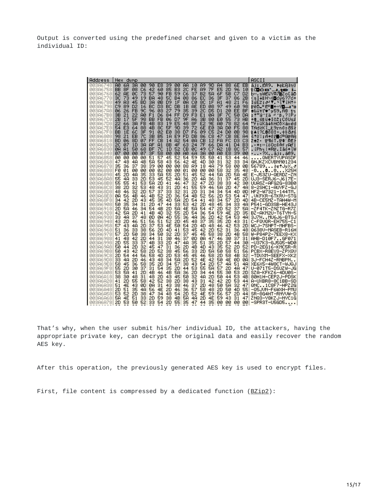Output is converted using the predefined charset and given to a victim as the individual ID:

| Address              | Hex                  | dump                 |          |                                  |                      |          |                 |                 |          |          |          |                      |                      | ASCII                                                            |
|----------------------|----------------------|----------------------|----------|----------------------------------|----------------------|----------|-----------------|-----------------|----------|----------|----------|----------------------|----------------------|------------------------------------------------------------------|
| 003A6748<br>003A6758 | AØ<br>68<br>8F<br>BВ | ЗА<br>øø<br>08<br>C6 | 90<br>42 | E <sub>8</sub><br>39<br>85<br>60 | øø<br>B <sub>3</sub> | AA<br>20 | 10<br><b>FE</b> | 89<br><b>A9</b> | 90<br>7F | A4<br>E5 | 88<br>2D | 6Е<br>96             | EВ<br>10             | áj: ER9.<br>▶eŁAłnŰ<br>10CB`_J.tO<br>1-                          |
| 003A6768<br>003A6778 | 62<br>AЕ<br>ЗC<br>73 | 73<br>ЙC<br>49<br>19 | 57<br>ВA | 90<br>FB<br>48<br>50             | 59<br>B4             | C6<br>Ø8 | 37<br>86        | B2<br>EC        | 5A<br>36 | 6F<br>ЗF | 5В<br>37 | C7<br>86             | D <sub>2</sub><br>2В | b∾.sWEűYĀ7∰Zo[āD<br>KsI↓⊪H\H⊠oŭ6?7o+                             |
| 003A6788             | A3<br>49             | 45<br>ВD             | зя       | ØВ<br>D9                         | 1F                   | ØA       | CЙ              | 80              | 1F       | A1       | 48       | 21                   | F6                   | IGE2:∂"▼ FITIH!÷                                                 |
| 003A6798<br>003A67A8 | C9<br>89<br>26<br>06 | D2<br>16<br>FB<br>90 | вс<br>96 | DЗ<br>вс<br>øз<br>27             | DB<br>79             | 1B<br>35 | AЕ<br>39        | ED<br>20        | Ø8<br>D5 | 97<br>D1 | 49<br>20 | 60<br>EE             | 98<br>ВF             | ╔ë0_"Ë"∎÷«Ŷ◘—∎*o<br><b>≙&amp;űťľ♥'y59,RÐ</b><br>$t_{\mathbf{L}}$ |
| 003A67B8<br>003A67C8 | зв<br>21<br>2В<br>17 | 22<br>AЙ<br>5F<br>98 | F1<br>вв | D6<br>84<br>FB<br>06             | FF<br>D7             | D9<br>9F | F3<br>86        | E1<br>зв        | ØА<br>80 | ЗF<br>EØ | 70<br>55 | 50<br>73             | DA<br>AВ             | Fuγβ.<br>:†"á″fä<br>21<br>Pг<br>+‡_ś∏ű♠Īč2;COUsź                 |
| 003A67D8<br>003A67E8 | 22<br>66<br>54<br>EЗ | ЗА<br>FB<br>88<br>64 | 4B<br>4Β | 83<br>19<br>80<br>5F             | E5<br>9D             | 48<br>39 | 8F<br>72        | E2<br>6Е        | 9Ε<br>EØ | AØ<br>ЗА | 78<br>DЙ | 82<br>F <sub>5</sub> | 64<br>88             | "f:űKā↓ňHCO×áxed<br>TNdłKī_Ł9rnó:đ§ł                             |
| 003A67F8<br>003A6808 | вв<br>1E<br>98<br>21 | ЗF<br>60<br>70<br>EB | 91<br>зв | Ø2<br>EØ<br>B5<br>1A             | 38<br>E <sub>9</sub> | D7<br>FD | F6<br>DB        | 09<br>86        | C5<br>C8 | 24<br>47 | DЙ<br>CВ | ØВ<br>8E             | 98<br>Ĥ4             | ī▲l?L8o8ī÷.+\$მ♂ś<br>ś!O¦;A+Uř∎c≞GrAA                            |
| 003A6818<br>003A6828 | BD<br>06<br>20<br>07 | 80<br>07<br>зя<br>1D | FF<br>ΑF | CВ<br>14<br>A1<br>88             | A2<br>4F             | 54<br>63 | ЙĤ<br>24        | cв<br>7F        | 12<br>66 | FA<br>DA | FC<br>41 | DЗ<br>D4             | cз<br>вз             | 2 <del>:</del> 2 · 〒¶oT.〒‡ REト<br>• ₩:≫[öOc\$ΔfrAd'              |
| 003A6838<br>003A6848 | ØA<br>81<br>07<br>øø | 50<br>68<br>øø<br>07 | ВF<br>ЗF | 7С<br>1D<br>58<br>øø             | 52<br>øø             | cв<br>АØ | ЙC<br>6А        | 49<br>ЗА        | C7<br>øø | 82<br>АØ | 18<br>E8 | 80<br>39             | 57<br>øø             | .iPh┐¦#Rī.Iāó←īW                                                 |
| 003A6858             | ЙЙ<br>ЙЙ             | ЙЙ<br>ЙЙ             | 51       | 57<br>45                         | 52                   | 54       | 59              | 55              | 50       | 41       | 53       | 44                   | 46                   | ?Xaj:.aR9.<br>QWERTYUPASDF                                       |
| 003A6868<br>003A6878 | 48<br>47<br>35<br>36 | 4A<br>4Β<br>37<br>38 | 5A<br>39 | 43<br>58<br>ЙЙ<br>ЙЙ             | 56<br>ЙЙ             | 42<br>88 | 4E<br>89        | 4D<br>18        | 30<br>4A | 31<br>79 | 32<br>58 | 33<br>ЙЙ             | 34<br>ØВ             | GHJKZXCVBNM01234<br>56789 ketJyX.a                               |
| 003A6888<br>003A6898 | FØ<br>01<br>45<br>2D | 00<br>00<br>35<br>4A | øø<br>33 | 02<br>øø<br><b>5A</b><br>55      | 00<br>20             | 01<br>51 | øø<br>45        | øø<br>52        | øø<br>44 | 58<br>5A | 32<br>2D | 35<br>5A             | 48<br>4E             | -080X25H<br>E-J53ZU-QERDZ-ZN                                     |
| 003A68A8<br>003A68B8 | 55<br>48<br>55<br>55 | 20<br>33<br>53<br>41 | 53<br>5A | 52<br>45<br>20<br>41             | 4A<br>46             | 36<br>47 | 2D<br>32        | 4A<br>47        | 36<br>2D | 31<br>38 | 37<br>33 | 45<br>42             | 2D<br>30             | UJ3-SERJ6-J617E-<br>UUASZ-AFG2G-83B0                             |
| 003A68C8<br>003A68D8 | 38<br>20<br>48<br>46 | 53<br>32<br>20<br>32 | 48<br>57 | 43<br>31<br>37<br>33             | 2D<br>32             | 41<br>31 | 55<br>2D        | 59<br>31        | 46<br>34 | 5A<br>34 | 20<br>54 | 47<br>40             | 4A<br>ØD             | 8–2SHC1−AUYFZ−GJ<br>HF2-W7321-144TM.                             |
| 003A68E8<br>003A68F8 | 56<br>ØA<br>42<br>34 | 4B<br>46<br>43<br>20 | 4B<br>45 | 52<br>2D<br>35<br>40             | 36<br>58             | 54<br>2D | 4Β<br>54        | 52<br>41        | 56<br>48 | 2D<br>34 | 53<br>57 | 54<br>2D             | 47<br>40             | .UKFKR-6TKRU-STG<br>4B-CE5MZ-TAH4W-M                             |
| 003A6908<br>003A6918 | 50<br>35<br>20<br>58 | 31<br>34<br>46<br>34 | 2D<br>54 | 47<br>44<br>4Β<br>2D             | 33<br>5A             | 53<br>4Ε | 42<br>5А        | 20<br>54        | 48<br>47 | 45<br>2D | 34<br>52 | 33<br>37             | 4A<br>5А             | P541-GD3SB-HE43J<br>-ZF4TK-ZNZTG-R7Z                             |
| 003A6928             | 42<br>58             | 2D<br>41             | 4B       | 32<br>40                         | 55                   | 2D       | 54              | 36              | 54       | 59       | 4E       | 20                   | 35                   | BZ-AKM2U-T6TYN-5                                                 |
| 003A6938<br>003A6948 | 33<br>4A<br>43<br>2D | 37<br>48<br>51<br>46 | ØD<br>56 | ØA<br>4D<br>51<br>52             | 55<br>2D             | 36<br>45 | 4A<br>48        | 36<br>37        | 2D<br>35 | 42<br>35 | 54<br>2D | 53<br>43             | 4A<br>31             | 3J7HMU6J6-BTSJ<br>C-FQVQR-EH755-C1                               |
| 003A6958<br>003A6968 | 57<br>43<br>51<br>36 | 4A<br>20<br>38<br>33 | 37<br>56 | 53<br>4F<br>2D<br>40             | 5й<br>41             | 54<br>53 | 20<br>45        | 4D<br>42        | 48<br>2D | 46<br>52 | 42<br>31 | 53<br>36             | 2D<br>48             | WCJ-7SNPT-MHFBS-<br>Q638V-MASEB-R16H                             |
| 003A6978<br>003A6988 | 57<br>2D<br>41<br>48 | 38<br>50<br>42<br>20 | 34<br>44 | 50<br>32<br>31<br>30             | 2D<br>46             | 37<br>37 | 45<br>ØD        | 45<br>ØA        | 58<br>47 | 38<br>46 | 2D<br>30 | 4B<br>37             | 58<br>31             | W-P84P2-7EEX8-KX<br>AHB-D10F7GF071                               |
| 003A6998<br>003A69A8 | 55<br>20<br>50<br>44 | 33<br>37<br>32<br>2D | 4Β<br>45 | 33<br>20<br>31<br>47             | 47<br>36             | 4A<br>2D | 35<br>4Β        | 51<br>40        | 35<br>43 | 2D<br>35 | 57<br>52 | 44<br>2D             | 30<br>52             | -U37K3-GJ5Q5-WD0<br>PD-2EG16-KMC5R-R                             |
| 003A69B8<br>003A69C8 | 50<br>43<br>2D<br>54 | 42<br>58<br>56<br>44 | 2D<br>58 | 52<br>38<br>2D<br>40             | 45<br>53             | 56<br>45 | 33<br>45        | 2D<br>46        | 5A<br>58 | 50<br>2D | 58<br>58 | 51<br>4B             | 56<br>32             | PCBX-R8EV3-ZPXQV<br>-TDVXM-SEEFX-XK2                             |
| 003A69D8<br>003A69E8 | 33<br>4A<br>58<br>45 | 46<br>20<br>58<br>36 | 43<br>35 | 48<br>34<br>20<br>34             | 5A<br>57             | 2D<br>38 | 52<br>43        | 4Ε<br>54        | 42<br>20 | 50<br>57 | 4E<br>48 | ØD<br>51             | ØA<br>4A             | 3J-FCH4Z-RNBPN<br>XE6X5-4W8CT-WJQJ                               |
| 003A69F8<br>003A6A08 | 55<br>2D<br>58       | 37<br>30             | 31<br>4B | 54<br>35<br>4B<br>46             | 20                   | 44       | 53              | 55<br>34        | 58<br>44 | 57       | 2D<br>30 | 4A                   | 47<br>2D             | U-071T5-DSUZW-JG                                                 |
| 003A6A18             | 53<br>30<br>38       | 20<br>41<br>31<br>48 | 48       | 20<br>43                         | 5A<br>45             | 36<br>50 | 2D<br>32        | 48              | 2D       | 55<br>50 | 44       | 53<br>53             | 4B                   | SZA-KFKZ6-4DU0S-<br>80H1H-CEP2J-PDSK                             |
| 003A6A28<br>003A6A38 | 2D<br>41<br>51<br>4F | 55<br>58<br>43<br>ЙD | 42<br>ØA | 52<br>38<br>43<br>31             | 2D<br>38             | 38<br>46 | 43<br>37        | 31<br>2D        | 42<br>48 | 42<br>50 | 2D<br>58 | 53<br>32             | 44<br>47             | A-UXBR8-8C1BB-SD<br>QNC1C8F7-HPZ2G                               |
| 003A6A48<br>003A6A58 | 2D<br>51<br>53<br>52 | 35<br>4A<br>2D<br>38 | 56<br>47 | 4F<br>2D<br>34<br>48             | 46<br>54             | 36<br>2D | 57<br>52        | 58<br>4Ε        | 48<br>59 | 2D<br>56 | 50<br>57 | 4D<br>20             | 55<br>44             | -Q5JVN-F6WXH-PMU<br>SR-8G4HT-RNYVW-D                             |
| 003A6A68<br>003A6A78 | 58<br>4Ε<br>53<br>20 | 51<br>33<br>52<br>50 | 20<br>33 | 59<br>38<br>54<br>2D             | 4B<br>55             | 5A<br>35 | 4A<br>47        | 20<br>44        | 4Ε<br>35 | 59<br>ЙЙ | 43<br>ЙЙ | 31<br>ЙЙ             | 47<br>øø             | ZNQ3–Y8KZJ–NYC1G<br>$-$ SPR3T $-$ U5GD5                          |

That's why, when the user submit his/her individual ID, the attackers, having the appropriate private key, can decrypt the original data and easily recover the random AES key.

After this operation, the previously generated AES key is used to encrypt files.

First, file content is compressed by a dedicated function ([BZip2\)](http://www.bzip.org/):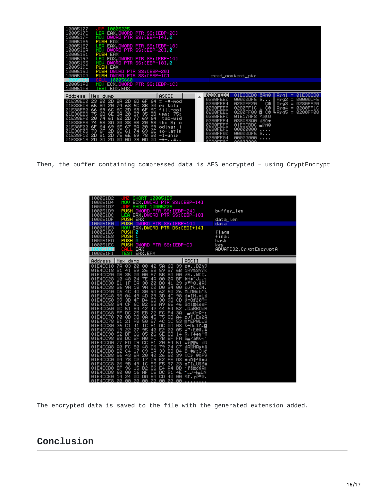| 10005177<br>1000517C<br>1000517F<br>10005186<br>10005187<br>1000518A<br>10005191<br>10005192<br>10005195<br>10005190<br>1000519D | JMP 10005225<br>EAX DWORD PTR SS: [EBP-2C]<br>LEA.<br>MOV DWORD PTR SS: [EBP-14] 0<br><b>PUSH EAX</b><br>LEA EAX.DWORD PTR SS:[EBP-18]<br>MOV DWORD PTR SS:[EBP-2C] 0<br><b>PUSH EAX</b><br>LEA EAX.DWORD PTR SS: [EBP-14]<br>MOV DWORD PTR SS:[EBP-18] 0<br><b>PUSH EAX</b><br>PUSH DWORD PTR SS:[EBP-20] |               |                       |                                       |       |      |                                  |
|----------------------------------------------------------------------------------------------------------------------------------|------------------------------------------------------------------------------------------------------------------------------------------------------------------------------------------------------------------------------------------------------------------------------------------------------------|---------------|-----------------------|---------------------------------------|-------|------|----------------------------------|
| 100051A0                                                                                                                         | PUSH DWORD PTR SS:[EBP-1C]                                                                                                                                                                                                                                                                                 |               |                       | read_content_ptr                      |       |      |                                  |
| 100051A8                                                                                                                         | 10005660<br>CALL<br>MOV ECX.DWORD PTR SS:[EBP-1C]                                                                                                                                                                                                                                                          |               |                       |                                       |       |      |                                  |
| 100051AB                                                                                                                         | TEST EAX.EAX                                                                                                                                                                                                                                                                                               |               |                       |                                       |       |      |                                  |
|                                                                                                                                  |                                                                                                                                                                                                                                                                                                            |               | 0280FEDC              | 01E38ED0 dAN8                         |       | Arg1 | $= 01E38EDB$                     |
| Address                                                                                                                          | Hex dump<br>01E38ED0 23 20 2D 2A 2D 6D 6F 64                                                                                                                                                                                                                                                               | ASCII         | 0280FEE0              | 00000DF5 S                            |       |      | $Area2 = 00000005$               |
|                                                                                                                                  | 01E38ED8 65 3A 20 74 63 6C 3B 20 e: tol;                                                                                                                                                                                                                                                                   | $#$ $-*$ -mod | 0280FEE4              | 0280FF20                              | C₿    |      | $Arg3 = 0280FF20$                |
|                                                                                                                                  | 01E38EE0 66 69 6C 6C 2D 63 6F 6C fill-col                                                                                                                                                                                                                                                                  |               | 0280FEE8              | 0280FF1C ∟ C@                         |       |      | $\rho_{\text{reg4}} = 0280$ FF10 |
|                                                                                                                                  | 01E38EE8 75 6D 6E 3A 20 37 35 3B umn: 75;                                                                                                                                                                                                                                                                  |               | 0280FEEC<br>0280FEF0  | 0280FF08 <b>D</b><br>$01E17AF8$ $8E6$ | C⊜    |      | <b>L</b> Arg5 = 0280FF08         |
|                                                                                                                                  | 01E38EF0 20 74 61 62 2D 77 69 64                                                                                                                                                                                                                                                                           | tab-wid       | 0280FEF4              | 038A33A0                              | å3ŏ♥  |      |                                  |
|                                                                                                                                  | 01E38EF8 74 68 3A 20 38 3B 20 63 th: 8: c<br>01E38F00 6F 64 69 6E 67 3A 20 69 oding: i                                                                                                                                                                                                                     |               | 0280FEF8              | 01ESCBDC FFN0                         |       |      |                                  |
|                                                                                                                                  | 01E38F08 73 6F 2D 6C 61 74 69 6E so-latin                                                                                                                                                                                                                                                                  |               | 0280FEFC              | 00000000                              | 1.1.1 |      |                                  |
|                                                                                                                                  | 01E38F10 2D 31 2D 75 6E 69 78 20 -1-unix                                                                                                                                                                                                                                                                   |               | 0280FF00              | $0000000F5$ $\degree$<br>00000000     |       |      |                                  |
|                                                                                                                                  | 01E38F18 2D 2A 2D 0D 0A 23 0D 0A -*-#                                                                                                                                                                                                                                                                      |               | 0280FF04<br>COOGEEQO. | GOOGOOGO                              | .     |      |                                  |

Then, the buffer containing compressed data is AES encrypted - using [CryptEncrypt](https://msdn.microsoft.com/en-us/library/windows/desktop/aa379924%28v=vs.85%29.aspx)

| 00051D2.<br>SHORT<br>100051D9<br>100051D4<br>ECX, DWORD PTR SS: [EBP-14]<br>MOU<br>00051D7<br>SHORT 10005225<br>PUSH DWORD PTR SS:[EBP-24]<br>10005109<br>EAX, DWORD PTR SS: [EBP-18]<br>100051DC<br>LEA<br>PUSH EAX<br>PUSH DWORD PTR SS:[EBP-14]<br>100051DF<br>100051E0<br>MOV EAX, DWORD PTR DS:[EDI+14]<br>100051E3<br>PUSH 0<br>PUSH 1<br>00051E6.<br>100051E8         |                                                                                                                                                                                                                                                                                                                                                                                                                                               |                                                                                                                                                                                                          |                                                                                                                                                                                                                                                                                                                                                                                                                                |                                                                                                                                                                                                                                                                                                                                                                                                                      |                                                                                                                                                                                                                                     |                                                                                                                                                                                                                                                                                                                                                                                    | buffer_len<br>data_len<br>data<br>flags<br>final |
|------------------------------------------------------------------------------------------------------------------------------------------------------------------------------------------------------------------------------------------------------------------------------------------------------------------------------------------------------------------------------|-----------------------------------------------------------------------------------------------------------------------------------------------------------------------------------------------------------------------------------------------------------------------------------------------------------------------------------------------------------------------------------------------------------------------------------------------|----------------------------------------------------------------------------------------------------------------------------------------------------------------------------------------------------------|--------------------------------------------------------------------------------------------------------------------------------------------------------------------------------------------------------------------------------------------------------------------------------------------------------------------------------------------------------------------------------------------------------------------------------|----------------------------------------------------------------------------------------------------------------------------------------------------------------------------------------------------------------------------------------------------------------------------------------------------------------------------------------------------------------------------------------------------------------------|-------------------------------------------------------------------------------------------------------------------------------------------------------------------------------------------------------------------------------------|------------------------------------------------------------------------------------------------------------------------------------------------------------------------------------------------------------------------------------------------------------------------------------------------------------------------------------------------------------------------------------|--------------------------------------------------|
| PUSH<br>100051EA<br>ø<br>PUSH<br>100051EC<br>DWORD PTR SS: [EBP-C]<br>EAX<br>٠E<br><b>TEST EAX, EAX</b><br>100051F1                                                                                                                                                                                                                                                          |                                                                                                                                                                                                                                                                                                                                                                                                                                               |                                                                                                                                                                                                          |                                                                                                                                                                                                                                                                                                                                                                                                                                |                                                                                                                                                                                                                                                                                                                                                                                                                      |                                                                                                                                                                                                                                     | hash<br>key<br>ADVAPI32.CryptEncryptA                                                                                                                                                                                                                                                                                                                                              |                                                  |
| Address                                                                                                                                                                                                                                                                                                                                                                      | Hex.                                                                                                                                                                                                                                                                                                                                                                                                                                          | dump                                                                                                                                                                                                     |                                                                                                                                                                                                                                                                                                                                                                                                                                |                                                                                                                                                                                                                                                                                                                                                                                                                      |                                                                                                                                                                                                                                     | ASCII                                                                                                                                                                                                                                                                                                                                                                              |                                                  |
| 01E4CC10<br>01E4CC18<br>01E4CC20<br>01E4CC28<br>01E4CC30<br>01E4CC38<br>01E4CC40<br>01E4CC48<br>01E4CC50<br>01E4CC58<br>01E4CC60<br>01E4CC68<br>01E4CC70<br>01E4CC78<br>01E4CC80<br>01E4CC88<br>01E4CC90<br>01E4CC98<br>01E4CCA0<br>01E4CCA8<br>01E4CCB0<br>01E4CCB8<br>01E4CCC0<br>01E4CCC8<br>01E4CCD0<br>01E4CCD8<br>E4CCE0<br>01<br>LG1E4CCEO GO GO GO GO GO GO GO GO GO | 7 <sup>2</sup><br>ØЗ<br>31<br>41<br>AB<br>35<br>48<br>10<br>E1<br>1F<br>26<br>9A<br>4C<br>C6<br>98<br>04<br>3D<br>99<br>CF<br>84<br>51<br>ØC<br><b>DC</b><br>FF<br>ØB<br>70<br>$\overline{21}$<br><b>B1</b><br>26<br>$\overline{c}$ <sub>1</sub><br>22<br>19<br>52<br>B8<br>BF<br><b>DC</b><br>FD<br>77<br>FC<br><b>AØ</b><br>D <sub>2</sub><br>C <sub>4</sub><br>56<br>43<br>04<br>78<br>06<br>9B<br>EF<br>96<br><b>ØØ</b><br>60<br>24<br>14 | 00<br>59<br>00<br>04<br>CA<br>18<br>4D<br>49<br>4F<br>$\frac{60}{84}$<br>75<br>$^{98}_{A8}$<br>41<br>87<br>66<br>2F<br>C <sub>9</sub><br><b>BØ</b><br>17<br>EA<br>D <sub>2</sub><br>49<br>15<br>16<br>ØD | 00<br>42<br>26<br>53<br>00<br>57<br>7E<br>4 <sub>H</sub><br>30<br><b>ØØ</b><br><b>ØØ</b><br>9A<br>9A<br>30<br>09<br>4D<br>8D<br>D <sub>4</sub><br>98<br>B <sub>2</sub><br>42<br>42<br>72<br>EB<br>ØA<br>45<br>50<br>57<br>$1\overline{C}$<br>31<br>95<br>40<br>05<br>06<br>FC<br><b>AØ</b><br>81<br>CC<br>48<br>C6<br>C <sub>9</sub><br>3A<br>20<br>40<br>D9<br>17<br>55<br>1C<br>86<br>B <sub>2</sub><br>C5<br>AF<br>DA<br>EA | 68<br>58<br>37<br>59<br>5B<br>80<br>ØØ<br>ØA<br>D8<br>41<br><b>DØ</b><br>34<br>$rac{62}{30}$<br>60<br>4C<br>9B<br>30<br>65<br>$\frac{55}{44}$<br>$\bar{6}\bar{4}$<br>FC<br>F4<br>75<br>8D<br>4C<br>1C<br>AC.<br>ØA<br>00<br>E2<br>6E<br>C8<br>ŽĒ.<br>BF<br>20<br>64<br>74<br>79<br>26<br>26<br>B <sub>3</sub><br>50<br>FE<br>E <sub>2</sub><br>F5<br>$9\overline{7}$<br>E4<br>A <sup>4</sup><br>DC<br>91<br>CD<br>40 | 39<br>6B<br>00<br>BF<br>29<br><b>ØØ</b><br>26<br>98<br>CD<br>46<br>52<br>3 <sub>H</sub><br>A <sub>4</sub><br>53<br>08<br>05<br>14<br><b>FA</b><br>51<br>C7<br>D <sub>4</sub><br>39<br>A <sub>3</sub><br>23<br>BB<br>4E<br><b>ØØ</b> | $z$ $\bullet$ BZh9<br>1AY&SY7k<br>25WIC.<br>DH+™J.<br>B™9.ĕA)<br>&ütü.d4.<br>ALMØUb'&<br>ś♦IM.=Lś<br>0=0d'201=<br>ä¤l#šeeF<br>.QäBBDdR<br>∍uOrR≃:<br>p∂T.Eu2A<br><b>※ * EPWL∟S</b><br><b>&amp; +AL1C.</b><br>↓"·L@ō.<br>Raf‡ <del>¢</del> n≝¶<br>SiyaRG<br>wřFirii dQ<br>áR©HĀytā<br>$D = $F : 3 d$<br>UCE 0&P9<br>◆хО‡Чб≡ці<br>$+TI$ LUSS#<br>· L'S猫ch Fin<br>ਦ≥⊁∎CN<br>¶\$.rř=@. |                                                  |

The encrypted data is saved to the file with the generated extension added.

# **Conclusion**